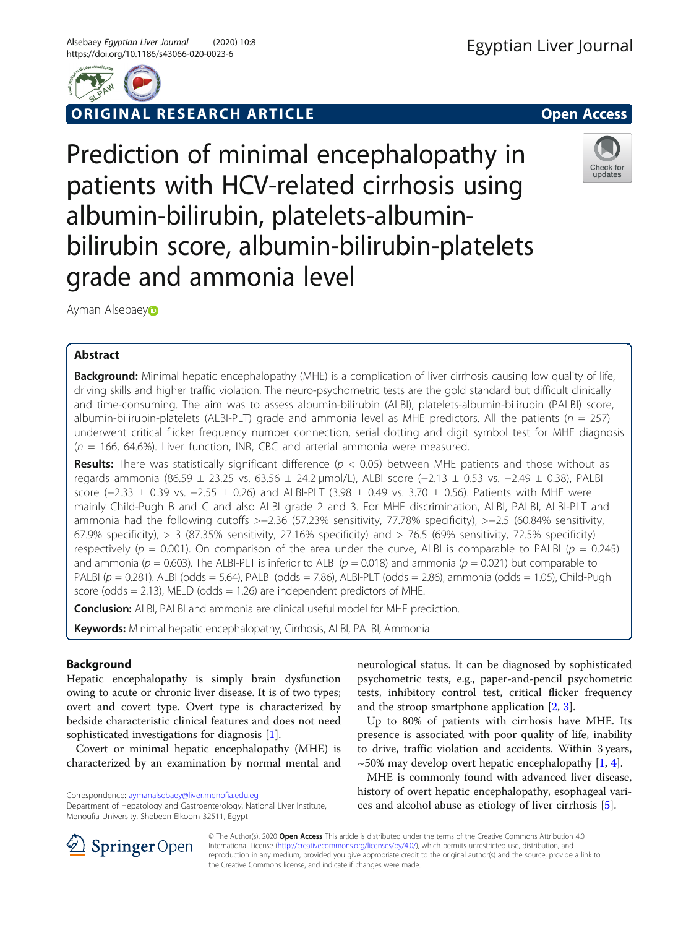

ORIGINAL RESEARCH ARTICLE **CONSIDERING A CONSIDERING A CONSIDERATION** Open Access





Prediction of minimal encephalopathy in patients with HCV-related cirrhosis using albumin-bilirubin, platelets-albuminbilirubin score, albumin-bilirubin-platelets grade and ammonia level

Ayman Alsebae[y](https://orcid.org/0000-0003-3781-2312)

# Abstract

Background: Minimal hepatic encephalopathy (MHE) is a complication of liver cirrhosis causing low quality of life, driving skills and higher traffic violation. The neuro-psychometric tests are the gold standard but difficult clinically and time-consuming. The aim was to assess albumin-bilirubin (ALBI), platelets-albumin-bilirubin (PALBI) score, albumin-bilirubin-platelets (ALBI-PLT) grade and ammonia level as MHE predictors. All the patients ( $n = 257$ ) underwent critical flicker frequency number connection, serial dotting and digit symbol test for MHE diagnosis  $(n = 166, 64.6\%)$ . Liver function, INR, CBC and arterial ammonia were measured.

**Results:** There was statistically significant difference ( $p < 0.05$ ) between MHE patients and those without as regards ammonia (86.59 ± 23.25 vs. 63.56 ± 24.2 μmol/L), ALBI score (−2.13 ± 0.53 vs. −2.49 ± 0.38), PALBI score (−2.33 ± 0.39 vs. −2.55 ± 0.26) and ALBI-PLT (3.98 ± 0.49 vs. 3.70 ± 0.56). Patients with MHE were mainly Child-Pugh B and C and also ALBI grade 2 and 3. For MHE discrimination, ALBI, PALBI, ALBI-PLT and ammonia had the following cutoffs >−2.36 (57.23% sensitivity, 77.78% specificity), >−2.5 (60.84% sensitivity, 67.9% specificity),  $> 3$  (87.35% sensitivity, 27.16% specificity) and  $> 76.5$  (69% sensitivity, 72.5% specificity) respectively ( $p = 0.001$ ). On comparison of the area under the curve, ALBI is comparable to PALBI ( $p = 0.245$ ) and ammonia ( $p = 0.603$ ). The ALBI-PLT is inferior to ALBI ( $p = 0.018$ ) and ammonia ( $p = 0.021$ ) but comparable to PALBI ( $p = 0.281$ ). ALBI (odds = 5.64), PALBI (odds = 7.86), ALBI-PLT (odds = 2.86), ammonia (odds = 1.05), Child-Pugh score (odds  $= 2.13$ ), MELD (odds  $= 1.26$ ) are independent predictors of MHE.

Conclusion: ALBI, PALBI and ammonia are clinical useful model for MHE prediction.

Keywords: Minimal hepatic encephalopathy, Cirrhosis, ALBI, PALBI, Ammonia

# Background

Hepatic encephalopathy is simply brain dysfunction owing to acute or chronic liver disease. It is of two types; overt and covert type. Overt type is characterized by bedside characteristic clinical features and does not need sophisticated investigations for diagnosis [\[1](#page-4-0)].

Covert or minimal hepatic encephalopathy (MHE) is characterized by an examination by normal mental and

Correspondence: [aymanalsebaey@liver.menofia.edu.eg](mailto:aymanalsebaey@liver.menofia.edu.eg)

neurological status. It can be diagnosed by sophisticated psychometric tests, e.g., paper-and-pencil psychometric tests, inhibitory control test, critical flicker frequency and the stroop smartphone application [\[2](#page-4-0), [3](#page-4-0)].

Up to 80% of patients with cirrhosis have MHE. Its presence is associated with poor quality of life, inability to drive, traffic violation and accidents. Within 3 years,  $\sim$ 50% may develop overt hepatic encephalopathy [[1,](#page-4-0) [4\]](#page-4-0).

MHE is commonly found with advanced liver disease, history of overt hepatic encephalopathy, esophageal varices and alcohol abuse as etiology of liver cirrhosis [\[5](#page-4-0)].



© The Author(s). 2020 Open Access This article is distributed under the terms of the Creative Commons Attribution 4.0 International License ([http://creativecommons.org/licenses/by/4.0/\)](http://creativecommons.org/licenses/by/4.0/), which permits unrestricted use, distribution, and reproduction in any medium, provided you give appropriate credit to the original author(s) and the source, provide a link to the Creative Commons license, and indicate if changes were made.

Department of Hepatology and Gastroenterology, National Liver Institute, Menoufia University, Shebeen Elkoom 32511, Egypt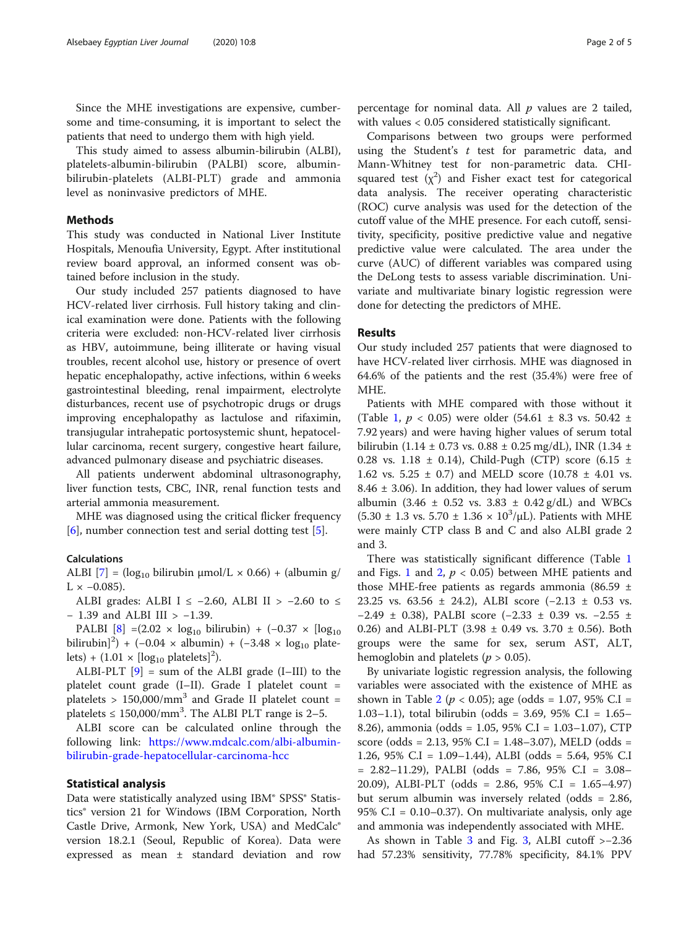Since the MHE investigations are expensive, cumbersome and time-consuming, it is important to select the patients that need to undergo them with high yield.

This study aimed to assess albumin-bilirubin (ALBI), platelets-albumin-bilirubin (PALBI) score, albuminbilirubin-platelets (ALBI-PLT) grade and ammonia level as noninvasive predictors of MHE.

## Methods

This study was conducted in National Liver Institute Hospitals, Menoufia University, Egypt. After institutional review board approval, an informed consent was obtained before inclusion in the study.

Our study included 257 patients diagnosed to have HCV-related liver cirrhosis. Full history taking and clinical examination were done. Patients with the following criteria were excluded: non-HCV-related liver cirrhosis as HBV, autoimmune, being illiterate or having visual troubles, recent alcohol use, history or presence of overt hepatic encephalopathy, active infections, within 6 weeks gastrointestinal bleeding, renal impairment, electrolyte disturbances, recent use of psychotropic drugs or drugs improving encephalopathy as lactulose and rifaximin, transjugular intrahepatic portosystemic shunt, hepatocellular carcinoma, recent surgery, congestive heart failure, advanced pulmonary disease and psychiatric diseases.

All patients underwent abdominal ultrasonography, liver function tests, CBC, INR, renal function tests and arterial ammonia measurement.

MHE was diagnosed using the critical flicker frequency [[6\]](#page-4-0), number connection test and serial dotting test [\[5\]](#page-4-0).

## Calculations

ALBI  $[7] = (\log_{10} \text{bilirubin } \mu \text{mol/L} \times 0.66) + (\text{albumin } g/\mu \text{mol} \times 0.66)$  $[7] = (\log_{10} \text{bilirubin } \mu \text{mol/L} \times 0.66) + (\text{albumin } g/\mu \text{mol} \times 0.66)$  $[7] = (\log_{10} \text{bilirubin } \mu \text{mol/L} \times 0.66) + (\text{albumin } g/\mu \text{mol} \times 0.66)$  $L \times -0.085$ ).

ALBI grades: ALBI I ≤ -2.60, ALBI II > -2.60 to ≤ − 1.39 and ALBI III > −1.39.

PALBI  $[8] = (2.02 \times \log_{10} \text{bilirubin}) + (-0.37 \times [\log_{10} \text{b}])$  $[8] = (2.02 \times \log_{10} \text{bilirubin}) + (-0.37 \times [\log_{10} \text{b}])$ bilirubin]<sup>2</sup>) + (-0.04 × albumin) + (-3.48 × log<sub>10</sub> platelets) +  $(1.01 \times [\log_{10} \text{ platelets}]^2)$ .

ALBI-PLT [\[9](#page-4-0)] = sum of the ALBI grade (I–III) to the platelet count grade (I–II). Grade I platelet count = platelets >  $150,000/mm^3$  and Grade II platelet count = platelets  $\leq 150,000/\text{mm}^3$ . The ALBI PLT range is 2–5.

ALBI score can be calculated online through the following link: [https://www.mdcalc.com/albi-albumin](https://www.mdcalc.com/albi-albumin-bilirubin-grade-hepatocellular-carcinoma-hcc)[bilirubin-grade-hepatocellular-carcinoma-hcc](https://www.mdcalc.com/albi-albumin-bilirubin-grade-hepatocellular-carcinoma-hcc)

## Statistical analysis

Data were statistically analyzed using IBM® SPSS® Statistics® version 21 for Windows (IBM Corporation, North Castle Drive, Armonk, New York, USA) and MedCalc® version 18.2.1 (Seoul, Republic of Korea). Data were expressed as mean ± standard deviation and row

percentage for nominal data. All  $p$  values are 2 tailed, with values < 0.05 considered statistically significant.

Comparisons between two groups were performed using the Student's  $t$  test for parametric data, and Mann-Whitney test for non-parametric data. CHIsquared test  $(x^2)$  and Fisher exact test for categorical data analysis. The receiver operating characteristic (ROC) curve analysis was used for the detection of the cutoff value of the MHE presence. For each cutoff, sensitivity, specificity, positive predictive value and negative predictive value were calculated. The area under the curve (AUC) of different variables was compared using the DeLong tests to assess variable discrimination. Univariate and multivariate binary logistic regression were done for detecting the predictors of MHE.

## Results

Our study included 257 patients that were diagnosed to have HCV-related liver cirrhosis. MHE was diagnosed in 64.6% of the patients and the rest (35.4%) were free of MHE.

Patients with MHE compared with those without it (Table [1,](#page-2-0)  $p < 0.05$ ) were older (54.61  $\pm$  8.3 vs. 50.42  $\pm$ 7.92 years) and were having higher values of serum total bilirubin (1.14 ± 0.73 vs. 0.88 ± 0.25 mg/dL), INR (1.34 ± 0.28 vs. 1.18  $\pm$  0.14), Child-Pugh (CTP) score (6.15  $\pm$ 1.62 vs.  $5.25 \pm 0.7$ ) and MELD score (10.78  $\pm$  4.01 vs.  $8.46 \pm 3.06$ ). In addition, they had lower values of serum albumin (3.46  $\pm$  0.52 vs. 3.83  $\pm$  0.42 g/dL) and WBCs  $(5.30 \pm 1.3 \text{ vs. } 5.70 \pm 1.36 \times 10^3/\mu L)$ . Patients with MHE were mainly CTP class B and C and also ALBI grade 2 and 3.

There was statistically significant difference (Table [1](#page-2-0) and Figs. [1](#page-2-0) and [2](#page-2-0),  $p < 0.05$ ) between MHE patients and those MHE-free patients as regards ammonia (86.59  $\pm$ 23.25 vs. 63.56 ± 24.2), ALBI score (−2.13 ± 0.53 vs. −2.49 ± 0.38), PALBI score (−2.33 ± 0.39 vs. −2.55 ± 0.26) and ALBI-PLT (3.98  $\pm$  0.49 vs. 3.70  $\pm$  0.56). Both groups were the same for sex, serum AST, ALT, hemoglobin and platelets ( $p > 0.05$ ).

By univariate logistic regression analysis, the following variables were associated with the existence of MHE as shown in Table [2](#page-2-0) ( $p < 0.05$ ); age (odds = 1.07, 95% C.I = 1.03–1.1), total bilirubin (odds = 3.69, 95% C.I = 1.65– 8.26), ammonia (odds = 1.05, 95% C.I = 1.03–1.07), CTP score (odds = 2.13, 95% C.I = 1.48–3.07), MELD (odds = 1.26, 95% C.I = 1.09–1.44), ALBI (odds = 5.64, 95% C.I = 2.82–11.29), PALBI (odds = 7.86, 95% C.I = 3.08– 20.09), ALBI-PLT (odds = 2.86, 95% C.I = 1.65–4.97) but serum albumin was inversely related (odds = 2.86, 95% C.I = 0.10–0.37). On multivariate analysis, only age and ammonia was independently associated with MHE.

As shown in Table [3](#page-3-0) and Fig. [3](#page-3-0), ALBI cutoff >−2.36 had 57.23% sensitivity, 77.78% specificity, 84.1% PPV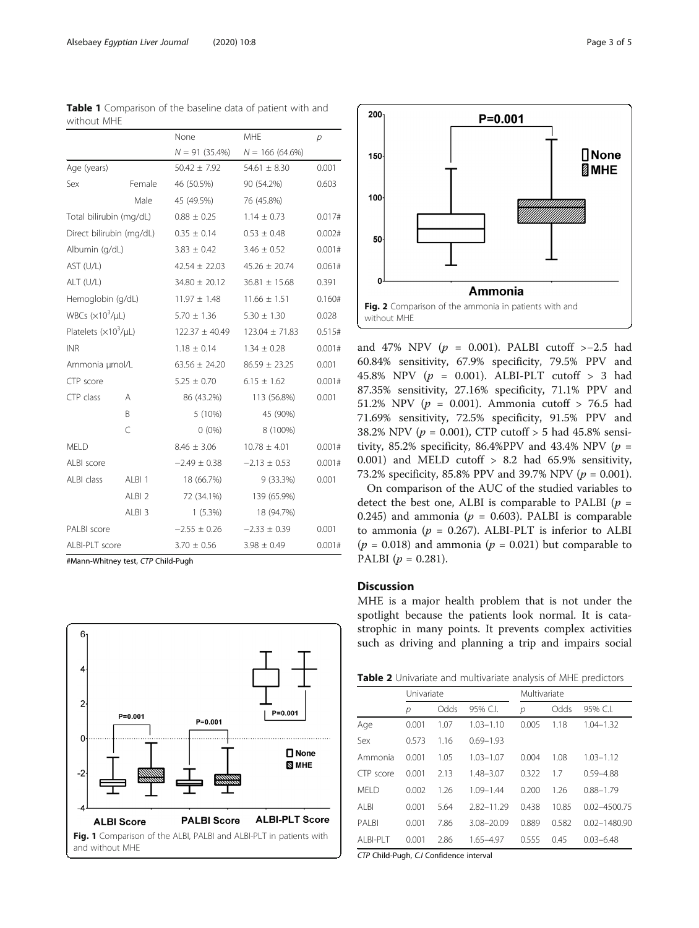|                           |                   | None               | <b>MHE</b>         | р      |  |
|---------------------------|-------------------|--------------------|--------------------|--------|--|
|                           |                   | $N = 91(35.4\%)$   | $N = 166(64.6\%)$  |        |  |
| Age (years)               |                   | $50.42 \pm 7.92$   | $54.61 \pm 8.30$   | 0.001  |  |
| Sex                       | Female            | 46 (50.5%)         | 90 (54.2%)         | 0.603  |  |
|                           | Male              | 45 (49.5%)         | 76 (45.8%)         |        |  |
| Total bilirubin (mg/dL)   |                   | $0.88 \pm 0.25$    | $1.14 \pm 0.73$    | 0.017# |  |
| Direct bilirubin (mg/dL)  |                   | $0.35 \pm 0.14$    | $0.53 \pm 0.48$    | 0.002# |  |
| Albumin (g/dL)            |                   | $3.83 \pm 0.42$    | $3.46 \pm 0.52$    | 0.001# |  |
| AST (U/L)                 |                   | $42.54 \pm 22.03$  | $45.26 \pm 20.74$  | 0.061# |  |
| $ALT$ (U/L)               |                   | $34.80 \pm 20.12$  | $36.81 \pm 15.68$  | 0.391  |  |
| Hemoglobin (g/dL)         |                   | $11.97 \pm 1.48$   | $11.66 \pm 1.51$   | 0.160# |  |
| WBCs $(x10^3/\mu L)$      |                   | $5.70 \pm 1.36$    | $5.30 \pm 1.30$    | 0.028  |  |
| Platelets $(x10^3/\mu L)$ |                   | $122.37 \pm 40.49$ | $123.04 \pm 71.83$ | 0.515# |  |
| <b>INR</b>                |                   | $1.18 \pm 0.14$    | $1.34 \pm 0.28$    | 0.001# |  |
| Ammonia µmol/L            |                   | $63.56 \pm 24.20$  | $86.59 \pm 23.25$  | 0.001  |  |
| CTP score                 |                   | $5.25 \pm 0.70$    | $6.15 \pm 1.62$    | 0.001# |  |
| CTP class                 | Α                 | 86 (43.2%)         | 113 (56.8%)        | 0.001  |  |
|                           | B                 | 5(10%)             | 45 (90%)           |        |  |
|                           | $\subset$         | $0(0\%)$           | 8 (100%)           |        |  |
| <b>MELD</b>               |                   | $8.46 \pm 3.06$    | $10.78 \pm 4.01$   | 0.001# |  |
| ALBI score                |                   | $-2.49 \pm 0.38$   | $-2.13 \pm 0.53$   | 0.001# |  |
| ALBI class                | ALBI <sub>1</sub> | 18 (66.7%)         | $9(33.3\%)$        | 0.001  |  |
|                           | ALBI <sub>2</sub> | 72 (34.1%)         | 139 (65.9%)        |        |  |
|                           | ALBI <sub>3</sub> | $1(5.3\%)$         | 18 (94.7%)         |        |  |
| PALBI score               |                   | $-2.55 \pm 0.26$   | $-2.33 \pm 0.39$   | 0.001  |  |
| ALBI-PLT score            |                   | $3.70 \pm 0.56$    | $3.98 \pm 0.49$    | 0.001# |  |

<span id="page-2-0"></span>Table 1 Comparison of the baseline data of patient with and without MHE

#Mann-Whitney test, CTP Child-Pugh





and 47% NPV ( $p = 0.001$ ). PALBI cutoff >-2.5 had 60.84% sensitivity, 67.9% specificity, 79.5% PPV and 45.8% NPV  $(p = 0.001)$ . ALBI-PLT cutoff > 3 had 87.35% sensitivity, 27.16% specificity, 71.1% PPV and 51.2% NPV ( $p = 0.001$ ). Ammonia cutoff > 76.5 had 71.69% sensitivity, 72.5% specificity, 91.5% PPV and 38.2% NPV ( $p = 0.001$ ), CTP cutoff > 5 had 45.8% sensitivity, 85.2% specificity, 86.4%PPV and 43.4% NPV ( $p =$ 0.001) and MELD cutoff > 8.2 had 65.9% sensitivity, 73.2% specificity, 85.8% PPV and 39.7% NPV ( $p = 0.001$ ).

On comparison of the AUC of the studied variables to detect the best one, ALBI is comparable to PALBI ( $p =$ 0.245) and ammonia ( $p = 0.603$ ). PALBI is comparable to ammonia ( $p = 0.267$ ). ALBI-PLT is inferior to ALBI  $(p = 0.018)$  and ammonia  $(p = 0.021)$  but comparable to PALBI ( $p = 0.281$ ).

# **Discussion**

MHE is a major health problem that is not under the spotlight because the patients look normal. It is catastrophic in many points. It prevents complex activities such as driving and planning a trip and impairs social

| Table 2 Univariate and multivariate analysis of MHE predictors |  |
|----------------------------------------------------------------|--|
|----------------------------------------------------------------|--|

|             | Univariate |      |               | Multivariate |       |                  |  |
|-------------|------------|------|---------------|--------------|-------|------------------|--|
|             | р          | Odds | 95% C.L       | р            | Odds  | 95% C.I.         |  |
| Age         | 0.001      | 1.07 | $1.03 - 1.10$ | 0.005        | 1.18  | $1.04 - 1.32$    |  |
| Sex         | 0.573      | 1.16 | $0.69 - 1.93$ |              |       |                  |  |
| Ammonia     | 0.001      | 1.05 | $1.03 - 1.07$ | 0.004        | 1.08  | $1.03 - 1.12$    |  |
| CTP score   | 0.001      | 2.13 | $1.48 - 3.07$ | 0.322        | 1.7   | $0.59 - 4.88$    |  |
| <b>MFID</b> | 0.002      | 1.26 | $1.09 - 1.44$ | 0.200        | 1.26  | $0.88 - 1.79$    |  |
| AI BI       | 0.001      | 5.64 | 2.82-11.29    | 0.438        | 10.85 | $0.02 - 4500.75$ |  |
| PAI BI      | 0.001      | 7.86 | 3.08-20.09    | 0.889        | 0.582 | $0.02 - 1480.90$ |  |
| AI BI-PI T  | 0.001      | 2.86 | 1.65-4.97     | 0.555        | 0.45  | $0.03 - 6.48$    |  |

CTP Child-Pugh, C.I Confidence interval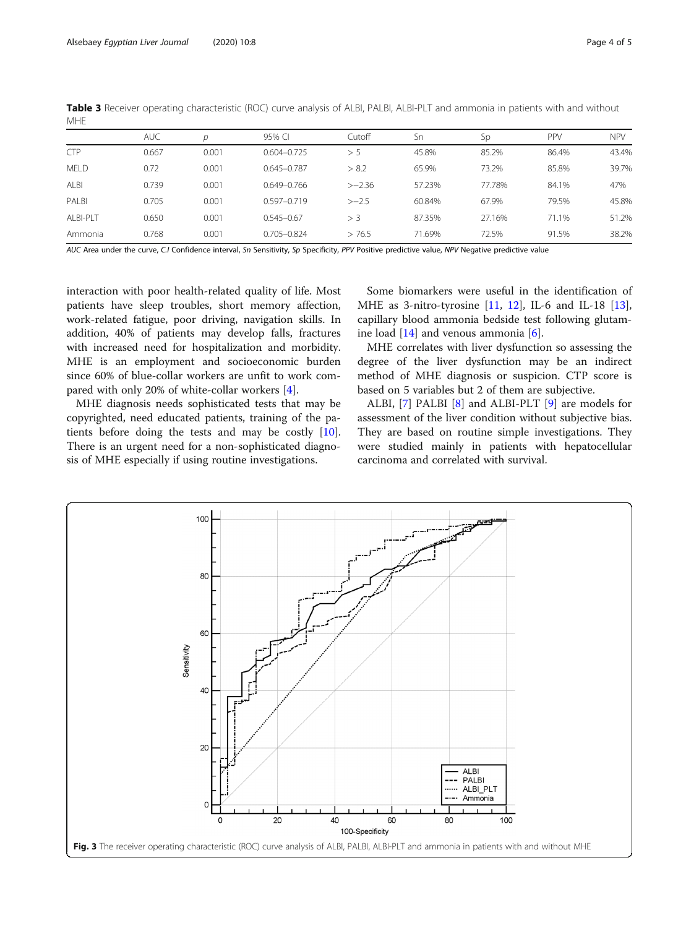|             | <b>AUC</b> | р     | 95% CI          | Cutoff   | Sn     | Sp     | PPV   | <b>NPV</b> |
|-------------|------------|-------|-----------------|----------|--------|--------|-------|------------|
| <b>CTP</b>  | 0.667      | 0.001 | $0.604 - 0.725$ | > 5      | 45.8%  | 85.2%  | 86.4% | 43.4%      |
| <b>MELD</b> | 0.72       | 0.001 | $0.645 - 0.787$ | > 8.2    | 65.9%  | 73.2%  | 85.8% | 39.7%      |
| ALBI        | 0.739      | 0.001 | $0.649 - 0.766$ | $>-2.36$ | 57.23% | 77.78% | 84.1% | 47%        |
| PALBI       | 0.705      | 0.001 | $0.597 - 0.719$ | $>-2.5$  | 60.84% | 67.9%  | 79.5% | 45.8%      |
| ALBI-PLT    | 0.650      | 0.001 | $0.545 - 0.67$  | > 3      | 87.35% | 27.16% | 71.1% | 51.2%      |
| Ammonia     | 0.768      | 0.001 | $0.705 - 0.824$ | > 76.5   | 71.69% | 72.5%  | 91.5% | 38.2%      |

<span id="page-3-0"></span>Table 3 Receiver operating characteristic (ROC) curve analysis of ALBI, PALBI, ALBI-PLT and ammonia in patients with and without MHE

AUC Area under the curve, C.I Confidence interval, Sn Sensitivity, Sp Specificity, PPV Positive predictive value, NPV Negative predictive value

interaction with poor health-related quality of life. Most patients have sleep troubles, short memory affection, work-related fatigue, poor driving, navigation skills. In addition, 40% of patients may develop falls, fractures with increased need for hospitalization and morbidity. MHE is an employment and socioeconomic burden since 60% of blue-collar workers are unfit to work compared with only 20% of white-collar workers [\[4](#page-4-0)].

MHE diagnosis needs sophisticated tests that may be copyrighted, need educated patients, training of the patients before doing the tests and may be costly [\[10](#page-4-0)]. There is an urgent need for a non-sophisticated diagnosis of MHE especially if using routine investigations.

Some biomarkers were useful in the identification of MHE as 3-nitro-tyrosine [\[11](#page-4-0), [12](#page-4-0)], IL-6 and IL-18 [\[13](#page-4-0)], capillary blood ammonia bedside test following glutamine load  $[14]$  $[14]$  and venous ammonia  $[6]$  $[6]$ .

MHE correlates with liver dysfunction so assessing the degree of the liver dysfunction may be an indirect method of MHE diagnosis or suspicion. CTP score is based on 5 variables but 2 of them are subjective.

ALBI, [[7\]](#page-4-0) PALBI [[8\]](#page-4-0) and ALBI-PLT [\[9\]](#page-4-0) are models for assessment of the liver condition without subjective bias. They are based on routine simple investigations. They were studied mainly in patients with hepatocellular carcinoma and correlated with survival.